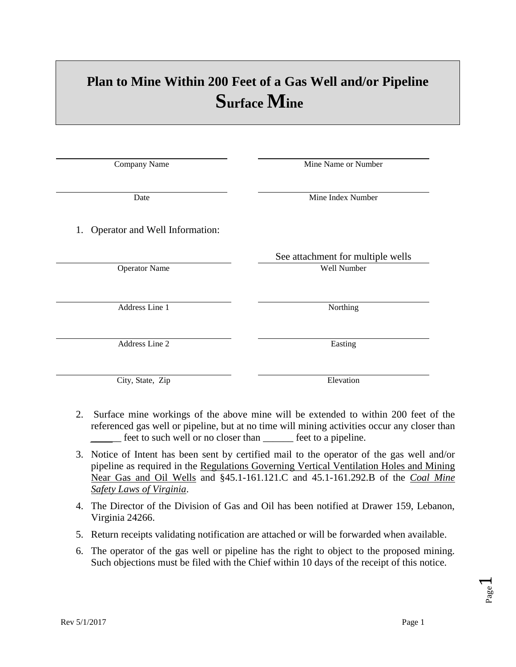## **Plan to Mine Within 200 Feet of a Gas Well and/or Pipeline Surface Mine**

| Company Name                         | Mine Name or Number               |
|--------------------------------------|-----------------------------------|
|                                      |                                   |
|                                      |                                   |
| Date                                 | Mine Index Number                 |
|                                      |                                   |
|                                      |                                   |
| Operator and Well Information:<br>1. |                                   |
|                                      |                                   |
|                                      | See attachment for multiple wells |
| <b>Operator Name</b>                 | Well Number                       |
|                                      |                                   |
|                                      |                                   |
| Address Line 1                       | Northing                          |
|                                      |                                   |
|                                      |                                   |
| Address Line 2                       | Easting                           |
|                                      |                                   |
|                                      |                                   |
|                                      |                                   |
| City, State, Zip                     | Elevation                         |

- 2. Surface mine workings of the above mine will be extended to within 200 feet of the referenced gas well or pipeline, but at no time will mining activities occur any closer than feet to such well or no closer than feet to a pipeline.
- 3. Notice of Intent has been sent by certified mail to the operator of the gas well and/or pipeline as required in the Regulations Governing Vertical Ventilation Holes and Mining Near Gas and Oil Wells and §45.1-161.121.C and 45.1-161.292.B of the *Coal Mine Safety Laws of Virginia*.
- 4. The Director of the Division of Gas and Oil has been notified at Drawer 159, Lebanon, Virginia 24266.
- 5. Return receipts validating notification are attached or will be forwarded when available.
- 6. The operator of the gas well or pipeline has the right to object to the proposed mining. Such objections must be filed with the Chief within 10 days of the receipt of this notice.

Page  $\blacktriangleleft$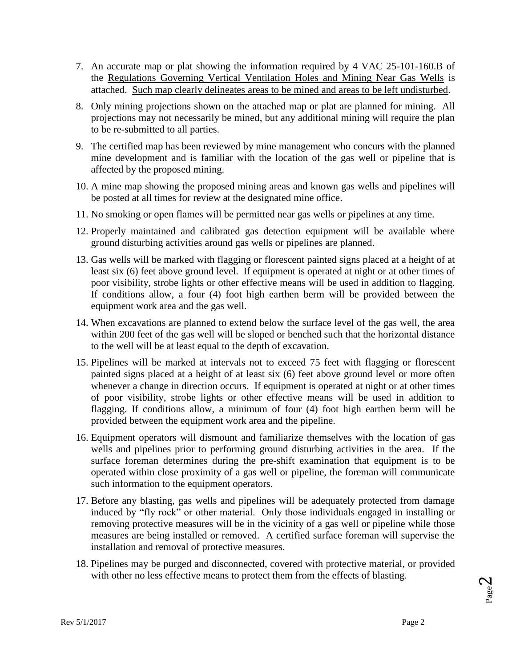- 7. An accurate map or plat showing the information required by 4 VAC 25-101-160.B of the Regulations Governing Vertical Ventilation Holes and Mining Near Gas Wells is attached. Such map clearly delineates areas to be mined and areas to be left undisturbed.
- 8. Only mining projections shown on the attached map or plat are planned for mining. All projections may not necessarily be mined, but any additional mining will require the plan to be re-submitted to all parties.
- 9. The certified map has been reviewed by mine management who concurs with the planned mine development and is familiar with the location of the gas well or pipeline that is affected by the proposed mining.
- 10. A mine map showing the proposed mining areas and known gas wells and pipelines will be posted at all times for review at the designated mine office.
- 11. No smoking or open flames will be permitted near gas wells or pipelines at any time.
- 12. Properly maintained and calibrated gas detection equipment will be available where ground disturbing activities around gas wells or pipelines are planned.
- 13. Gas wells will be marked with flagging or florescent painted signs placed at a height of at least six (6) feet above ground level. If equipment is operated at night or at other times of poor visibility, strobe lights or other effective means will be used in addition to flagging. If conditions allow, a four (4) foot high earthen berm will be provided between the equipment work area and the gas well.
- 14. When excavations are planned to extend below the surface level of the gas well, the area within 200 feet of the gas well will be sloped or benched such that the horizontal distance to the well will be at least equal to the depth of excavation.
- 15. Pipelines will be marked at intervals not to exceed 75 feet with flagging or florescent painted signs placed at a height of at least six (6) feet above ground level or more often whenever a change in direction occurs. If equipment is operated at night or at other times of poor visibility, strobe lights or other effective means will be used in addition to flagging. If conditions allow, a minimum of four (4) foot high earthen berm will be provided between the equipment work area and the pipeline.
- 16. Equipment operators will dismount and familiarize themselves with the location of gas wells and pipelines prior to performing ground disturbing activities in the area. If the surface foreman determines during the pre-shift examination that equipment is to be operated within close proximity of a gas well or pipeline, the foreman will communicate such information to the equipment operators.
- 17. Before any blasting, gas wells and pipelines will be adequately protected from damage induced by "fly rock" or other material. Only those individuals engaged in installing or removing protective measures will be in the vicinity of a gas well or pipeline while those measures are being installed or removed. A certified surface foreman will supervise the installation and removal of protective measures.
- 18. Pipelines may be purged and disconnected, covered with protective material, or provided with other no less effective means to protect them from the effects of blasting.